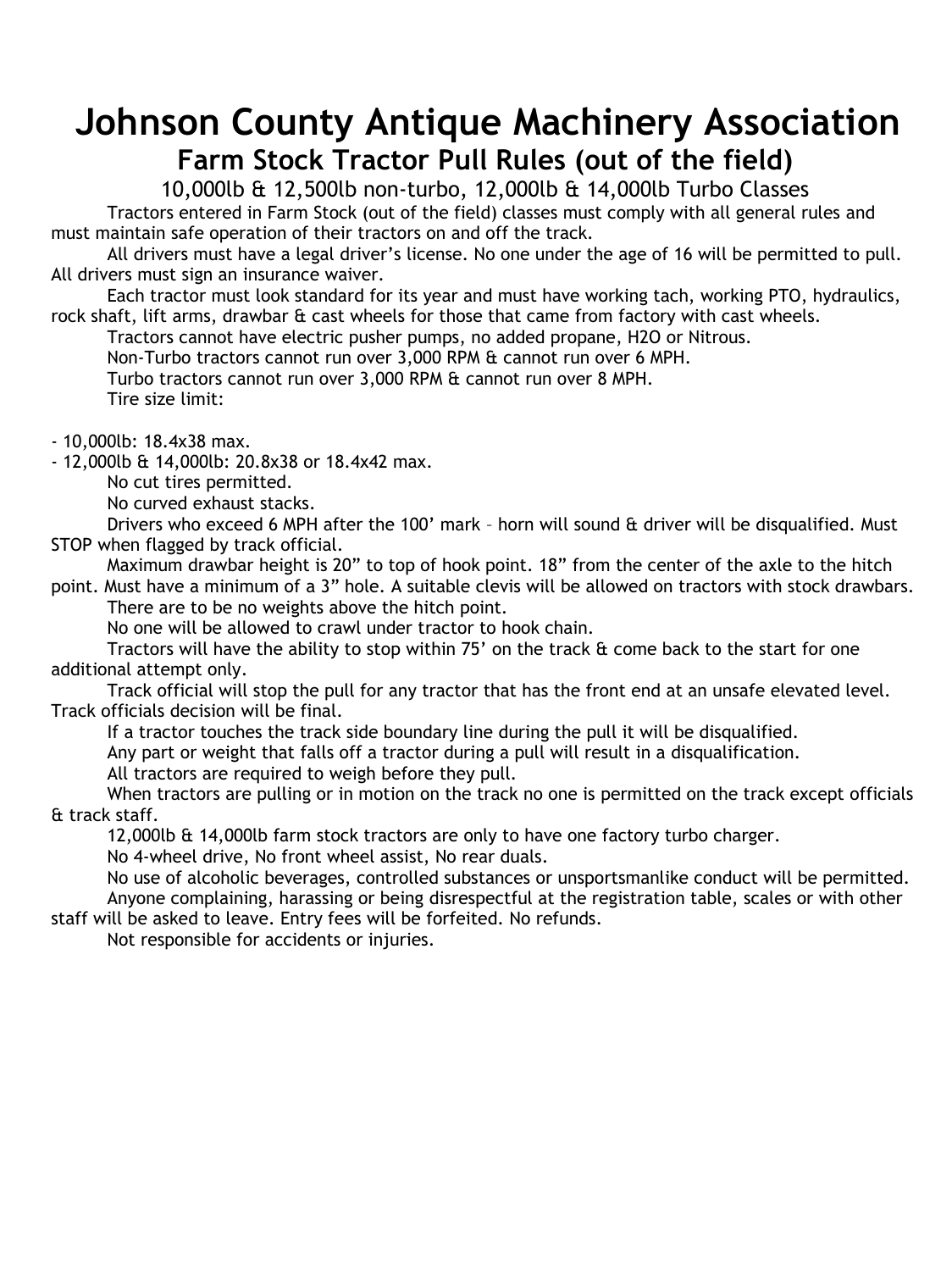## **Johnson County Antique Machinery Association Farm Stock Tractor Pull Rules (out of the field)**

10,000lb & 12,500lb non-turbo, 12,000lb & 14,000lb Turbo Classes Tractors entered in Farm Stock (out of the field) classes must comply with all general rules and must maintain safe operation of their tractors on and off the track.

All drivers must have a legal driver's license. No one under the age of 16 will be permitted to pull. All drivers must sign an insurance waiver.

Each tractor must look standard for its year and must have working tach, working PTO, hydraulics, rock shaft, lift arms, drawbar & cast wheels for those that came from factory with cast wheels.

Tractors cannot have electric pusher pumps, no added propane, H2O or Nitrous.

Non-Turbo tractors cannot run over 3,000 RPM & cannot run over 6 MPH.

Turbo tractors cannot run over 3,000 RPM & cannot run over 8 MPH. Tire size limit:

- 10,000lb: 18.4x38 max.

- 12,000lb & 14,000lb: 20.8x38 or 18.4x42 max.

No cut tires permitted.

No curved exhaust stacks.

Drivers who exceed 6 MPH after the 100' mark – horn will sound & driver will be disqualified. Must STOP when flagged by track official.

Maximum drawbar height is 20" to top of hook point. 18" from the center of the axle to the hitch

point. Must have a minimum of a 3" hole. A suitable clevis will be allowed on tractors with stock drawbars. There are to be no weights above the hitch point.

No one will be allowed to crawl under tractor to hook chain.

Tractors will have the ability to stop within  $75'$  on the track  $\alpha$  come back to the start for one additional attempt only.

Track official will stop the pull for any tractor that has the front end at an unsafe elevated level. Track officials decision will be final.

If a tractor touches the track side boundary line during the pull it will be disqualified.

Any part or weight that falls off a tractor during a pull will result in a disqualification.

All tractors are required to weigh before they pull.

When tractors are pulling or in motion on the track no one is permitted on the track except officials & track staff.

12,000lb & 14,000lb farm stock tractors are only to have one factory turbo charger.

No 4-wheel drive, No front wheel assist, No rear duals.

No use of alcoholic beverages, controlled substances or unsportsmanlike conduct will be permitted. Anyone complaining, harassing or being disrespectful at the registration table, scales or with other staff will be asked to leave. Entry fees will be forfeited. No refunds.

Not responsible for accidents or injuries.